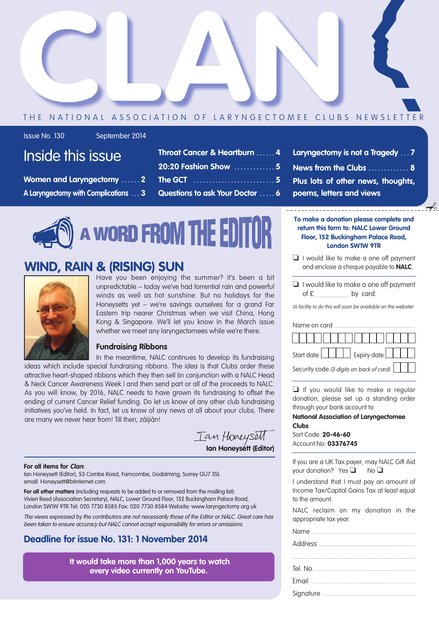

#### THE NATIONAL ASSOCIATION OF LARYNGECTOMEE CLUBS NEWSLETTER

Issue No. 130 September 2014

## Inside this issue

**Women and Laryngectomy . . . . . . 2 A Laryngectomy with Complications . . . 3**

| Throat Cancer & Heartburn  4    |
|---------------------------------|
| 20:20 Fashion Show  5           |
|                                 |
| Questions to ask Your Doctor  6 |

**Laryngectomy is not a Tragedy . . . 7 News from the Clubs . . . . . . . . . . . . . 8 Plus lots of other news, thoughts, poems, letters and views**

## **A WORD FROM THE EDITOR**

## **WIND, RAIN & (RISING) SUN**



Have you been enjoying the summer? It's been a bit unpredictable – today we've had torrential rain and powerful winds as well as hot sunshine. But no holidays for the Honeysetts yet – we're savings ourselves for a grand Far Eastern trip nearer Christmas when we visit China, Hong Kong & Singapore. We'll let you know in the March issue whether we meet any laryngectomees while we're there.

#### **Fundraising Ribbons**

In the meantime, NALC continues to develop its fundraising ideas which include special fundraising ribbons. The idea is that Clubs order these attractive heart-shaped ribbons which they then sell (in conjunction with a NALC Head & Neck Cancer Awareness Week ) and then send part or all of the proceeds to NALC. As you will know, by 2016, NALC needs to have grown its fundraising to offset the ending of current Cancer Relief funding. Do let us know of any other club fundraising initiatives you've held. In fact, let us know of any news at all about your clubs. There are many we never hear from! Till then, zàijiàn!

**Ian Honeysett (Editor)**

#### **For all items for Clan:**

Ian Honeysett (Editor), 53 Combe Road, Farncombe, Godalming, Surrey GU7 3SL email: Honeysett@btinternet.com

**For all other matters** (including requests to be added to or removed from the mailing list): Vivien Reed (Association Secretary), NALC, Lower Ground Floor, 152 Buckingham Palace Road, London SW1W 9TR Tel: 020 7730 8585 Fax: 020 7730 8584 Website: www.laryngectomy.org.uk

The views expressed by the contributors are not necessarily those of the Editor or NALC. Great care has been taken to ensure accuracy but NALC cannot accept responsibility for errors or omissions.

#### **Deadline for issue No. 131: 1 November 2014**

**It would take more than 1,000 years to watch every video currently on YouTube.**

**To make a donation please complete and return this form to: NALC Lower Ground Floor, 152 Buckingham Palace Road, London SW1W 9TR**

 $\rightarrow$ 

- ❏ I would like to make a one off payment and enclose a cheque payable to **NALC**.
- ❏ I would like to make a one off payment of £ ............................ by card.

(A facility to do this will soon be available on the website)

| Name on card                             |
|------------------------------------------|
| , , , , , , , , , , , , , , , , , ,      |
| Start date <b>Expiry date</b>            |
| Security code (3 digits on back of card) |

❏ If you would like to make a regular donation, please set up a standing order through your bank account to:

#### **National Association of Laryngectomee Clubs**

Sort Code: **20-46-60** Account No: **03376745**

If you are a UK Tax payer, may NALC Gift Aid your donation? Yes **□** No **□** 

I understand that I must pay an amount of Income Tax/Capital Gains Tax at least equal to the amount.

NALC reclaim on my donation in the appropriate tax year.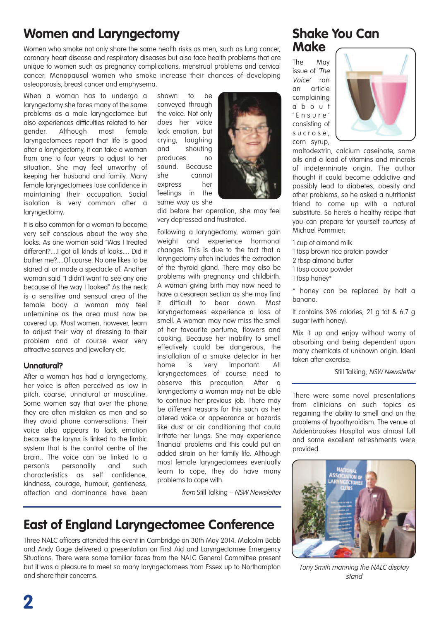## **Women and Laryngectomy**

Women who smoke not only share the same health risks as men, such as lung cancer, coronary heart disease and respiratory diseases but also face health problems that are unique to women such as pregnancy complications, menstrual problems and cervical cancer. Menopausal women who smoke increase their chances of developing osteoporosis, breast cancer and emphysema.

When a woman has to undergo a laryngectomy she faces many of the same problems as a male laryngectomee but also experiences difficulties related to her gender. Although most female laryngectomees report that life is good after a laryngectomy, it can take a woman from one to four years to adjust to her situation. She may feel unworthy of keeping her husband and family. Many female laryngectomees lose confidence in maintaining their occupation. Social isolation is very common after a laryngectomy.

It is also common for a woman to become very self conscious about the way she looks. As one woman said "Was I treated different?....I got all kinds of looks.... Did it bother me?....Of course. No one likes to be stared at or made a spectacle of. Another woman said "I didn't want to see any one because of the way I looked" As the neck is a sensitive and sensual area of the female body a woman may feel unfeminine as the area must now be covered up. Most women, however, learn to adjust their way of dressing to their problem and of course wear very attractive scarves and jewellery etc.

#### **Unnatural?**

After a woman has had a laryngectomy, her voice is often perceived as low in pitch, coarse, unnatural or masculine. Some women say that over the phone they are often mistaken as men and so they avoid phone conversations. Their voice also appears to lack emotion because the larynx is linked to the limbic system that is the control centre of the brain.. The voice can be linked to a person's personality and such characteristics as self confidence, kindness, courage, humour, gentleness, affection and dominance have been

shown to be conveyed through the voice. Not only does her voice lack emotion, but crying, laughing and shouting produces no sound. Because she cannot express her feelings in the same way as she



did before her operation, she may feel very depressed and frustrated.

Following a laryngectomy, women gain weight and experience hormonal changes. This is due to the fact that a laryngectomy often includes the extraction of the thyroid gland. There may also be problems with pregnancy and childbirth. A woman giving birth may now need to have a cesarean section as she may find<br>it difficult to bear down Most difficult to bear down. Most laryngectomees experience a loss of smell. A woman may now miss the smell of her favourite perfume, flowers and cooking. Because her inability to smell effectively could be dangerous, the installation of a smoke detector in her home is very important. All laryngectomees of course need to observe this precaution. After a laryngectomy a woman may not be able to continue her previous job. There may be different reasons for this such as her altered voice or appearance or hazards like dust or air conditioning that could irritate her lungs. She may experience financial problems and this could put an added strain on her family life. Although most female laryngectomees eventually learn to cope, they do have many problems to cope with.

from Still Talking – NSW Newsletter

## **East of England Laryngectomee Conference**

Three NALC officers attended this event in Cambridge on 30th May 2014. Malcolm Babb and Andy Gage delivered a presentation on First Aid and Laryngectomee Emergency Situations. There were some familiar faces from the NALC General Committee present but it was a pleasure to meet so many laryngectomees from Essex up to Northampton and share their concerns.

#### **Shake You Can Make**

The May issue of 'The Voice' ran an article complaining a b o u t ' E n s u r e ' consisting of s u c r o s e , corn syrup,



maltodextrin, calcium caseinate, some oils and a load of vitamins and minerals of indeterminate origin. The author thought it could become addictive and possibly lead to diabetes, obesity and other problems, so he asked a nutritionist friend to come up with a natural substitute. So here's a healthy recipe that you can prepare for yourself courtesy of Michael Pommier:

1 cup of almond milk

- 1 tbsp brown rice protein powder
- 2 tbsp almond butter
- 1 tbsp cocoa powder
- 1 tbsp honey\*

\* honey can be replaced by half a banana.

It contains 396 calories, 21 g fat & 6.7 g sugar (with honey).

Mix it up and enjoy without worry of absorbing and being dependent upon many chemicals of unknown origin. Ideal taken after exercise.

Still Talking, NSW Newsletter

There were some novel presentations from clinicians on such topics as regaining the ability to smell and on the problems of hypothyroidism. The venue at Addenbrookes Hospital was almost full and some excellent refreshments were provided.



Tony Smith manning the NALC display stand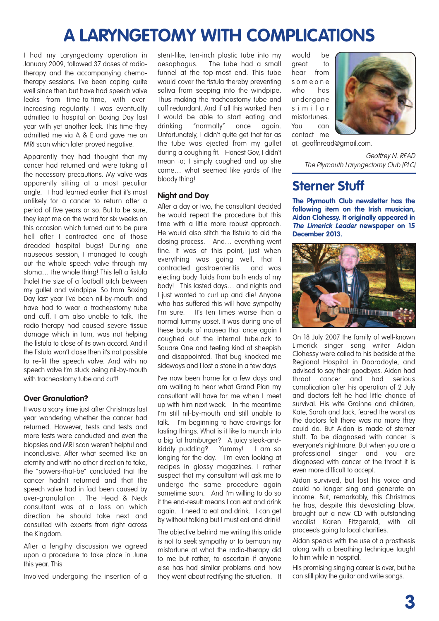## **A LARYNGETOMY WITH COMPLICATIONS**

I had my Laryngectomy operation in January 2009, followed 37 doses of radiotherapy and the accompanying chemotherapy sessions. I've been coping quite well since then but have had speech valve leaks from time-to-time, with everincreasing regularity. I was eventually admitted to hospital on Boxing Day last year with yet another leak. This time they admitted me via A & E and gave me an MRI scan which later proved negative.

Apparently they had thought that my cancer had returned and were taking all the necessary precautions. My valve was apparently sitting at a most peculiar angle. I had learned earlier that it's most unlikely for a cancer to return after a period of five years or so. But to be sure, they kept me on the ward for six weeks on this occasion which turned out to be pure hell after I contracted one of those dreaded hospital bugs! During one nauseous session, I managed to cough out the whole speech valve through my stoma… the whole thing! This left a fistula (hole) the size of a football pitch between my gullet and windpipe. So from Boxing Day last year I've been nil-by-mouth and have had to wear a tracheostomy tube and cuff. I am also unable to talk. The radio-therapy had caused severe tissue damage which in turn, was not helping the fistula to close of its own accord. And if the fistula won't close then it's not possible to re-fit the speech valve. And with no speech valve I'm stuck being nil-by-mouth with tracheostomy tube and cuff!

#### **Over Granulation?**

It was a scary time just after Christmas last year wondering whether the cancer had returned. However, tests and tests and more tests were conducted and even the biopsies and MRI scan weren't helpful and inconclusive. After what seemed like an eternity and with no other direction to take, the "powers-that-be" concluded that the cancer hadn't returned and that the speech valve had in fact been caused by over-granulation . The Head & Neck consultant was at a loss on which direction he should take next and consulted with experts from right across the Kingdom.

After a lenathy discussion we agreed upon a procedure to take place in June this year. This

Involved undergoing the insertion of a

stent-like, ten-inch plastic tube into my oesophagus. The tube had a small funnel at the top-most end. This tube would cover the fistula thereby preventing saliva from seeping into the windpipe. Thus making the tracheostomy tube and cuff redundant. And if all this worked then I would be able to start eating and<br>drinkina "normally" once again. "normally" once again. Unfortunately, I didn't quite get that far as the tube was ejected from my gullet during a coughing fit. Honest Gov, I didn't mean to; I simply coughed and up she came… what seemed like yards of the bloody thing!

#### **Night and Day**

After a day or two, the consultant decided he would repeat the procedure but this time with a little more robust approach. He would also stitch the fistula to aid the closing process. And… everything went fine. It was at this point, just when everything was going well, that I contracted gastroenteritis and was ejecting body fluids from both ends of my body! This lasted days… and nights and I just wanted to curl up and die! Anyone who has suffered this will have sympathy I'm sure. It's ten times worse than a normal tummy upset. It was during one of these bouts of nausea that once again I coughed out the infernal tube.ack to Square One and feeling kind of sheepish and disappointed. That bug knocked me sideways and I lost a stone in a few days.

I've now been home for a few days and am waiting to hear what Grand Plan my consultant will have for me when I meet up with him next week. In the meantime I'm still nil-by-mouth and still unable to talk. I'm beginning to have cravings for tasting things. What is it like to munch into a big fat hamburger? A juicy steak-andkiddly pudding? Yummy! I am so longing for the day. I'm even looking at recipes in glossy magazines. I rather suspect that my consultant will ask me to undergo the same procedure again sometime soon. And I'm willing to do so if the end-result means I can eat and drink again. I need to eat and drink. I can get by without talking but I must eat and drink!

The objective behind me writing this article is not to seek sympathy or to bemoan my misfortune at what the radio-therapy did to me but rather, to ascertain if anyone else has had similar problems and how they went about rectifying the situation. It

would be great to hear from s o m e o n e who has undergone s i m i l a r misfortunes. You can contact me



at: geoffnread@gmail.com.

Geoffrey N. READ The Plymouth Laryngectomy Club (PLC)

## **Sterner Stuff**

**The Plymouth Club newsletter has the following item on the Irish musician, Aidan Clohessy. It originally appeared in The Limerick Leader newspaper on 15 December 2013.**



On 18 July 2007 the family of well-known Limerick singer song writer Aidan Clohessy were called to his bedside at the Regional Hospital in Dooradoyle, and advised to say their goodbyes. Aidan had throat cancer and had serious complication after his operation of 2 July and doctors felt he had little chance of survival. His wife Grainne and children, Kate, Sarah and Jack, feared the worst as the doctors felt there was no more they could do. But Aidan is made of sterner stuff. To be diagnosed with cancer is everyone's nightmare. But when you are a professional singer and you are diagnosed with cancer of the throat it is even more difficult to accept.

Aidan survived, but lost his voice and could no longer sing and generate an income. But, remarkably, this Christmas he has, despite this devastating blow, brought out a new CD with outstanding vocalist Karen Fitzgerald, with all proceeds going to local charities.

Aidan speaks with the use of a prosthesis along with a breathing technique taught to him while in hospital.

His promising singing career is over, but he can still play the guitar and write songs.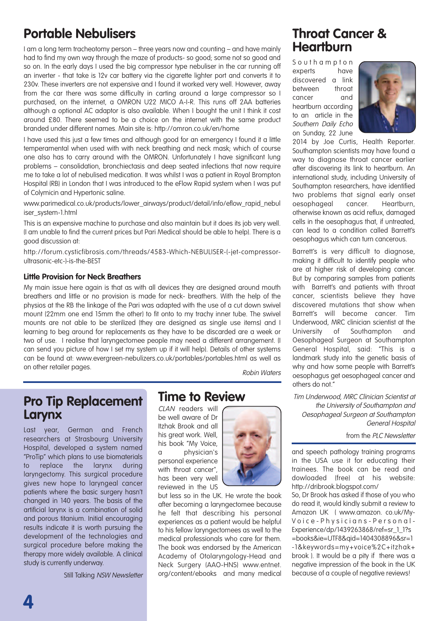## **Portable Nebulisers**

I am a long term tracheotomy person – three years now and counting – and have mainly had to find my own way through the maze of products- so good; some not so good and so on. In the early days I used the big compressor type nebuliser in the car running off an inverter - that take is 12v car battery via the cigarette lighter port and converts it to 230v. These inverters are not expensive and I found it worked very well. However, away from the car there was some difficulty in carting around a large compressor so I purchased, on the internet, a OMRON U22 MICO A-I-R. This runs off 2AA batteries although a optional AC adaptor is also available. When I bought the unit I think it cost around £80. There seemed to be a choice on the internet with the same product branded under different names. Main site is: http://omron.co.uk/en/home

I have used this just a few times and although good for an emergency I found it a little temperamental when used with with neck breathing and neck mask; which of course one also has to carry around with the OMRON. Unfortunately I have significant lung problems – consolidation, bronchiectasis and deep seated infections that now require me to take a lot of nebulised medication. It was whilst I was a patient in Royal Brompton Hospital (RB) in London that I was introduced to the eFlow Rapid system when I was put of Colymicin and Hypertonic saline.

www.parimedical.co.uk/products/lower\_airways/product/detail/info/eflow\_rapid\_nebul iser\_system-1.html

This is an expensive machine to purchase and also maintain but it does its job very well. (I am unable to find the current prices but Pari Medical should be able to help). There is a good discussion at:

http://forum.cysticfibrosis.com/threads/4583-Which-NEBULISER-(-jet-compressorultrasonic-etc-)-is-the-BEST

#### **Little Provision for Neck Breathers**

My main issue here again is that as with all devices they are designed around mouth breathers and little or no provision is made for neck- breathers. With the help of the physios at the RB the linkage of the Pari was adapted with the use of a cut down swivel mount (22mm one end 15mm the other) to fit onto to my trachy inner tube. The swivel mounts are not able to be sterilized (they are designed as single use items) and I learning to beg around for replacements as they have to be discarded are a week or two of use. I realise that laryngectomee people may need a different arrangement. (I can send you picture of how I set my system up if it will help). Details of other systems can be found at: www.evergreen-nebulizers.co.uk/portables/portables.html as well as on other retailer pages.<br>
Robin Waters

#### **Pro Tip Replacement Larynx**

Last year, German and French researchers at Strasbourg University Hospital, developed a system named "ProTip" which plans to use biomaterials to replace the larynx during laryngectomy. This surgical procedure gives new hope to laryngeal cancer patients where the basic surgery hasn't changed in 140 years. The basis of the artificial larynx is a combination of solid and porous titanium. Initial encouraging results indicate it is worth pursuing the development of the technologies and surgical procedure before making the therapy more widely available. A clinical study is currently underway.

Still Talking NSW Newsletter

#### **Time to Review**

CLAN readers will be well aware of Dr Itzhak Brook and all his great work. Well, his book "My Voice, a physician's personal experience with throat cancer", has been very well reviewed in the US



### **Throat Cancer & Heartburn**

S o u t h a m p t o n experts have discovered a link between throat cancer and heartburn according to an article in the Southern Daily Echo on Sunday, 22 June



2014 by Joe Curtis, Health Reporter. Southampton scientists may have found a way to diagnose throat cancer earlier after discovering its link to heartburn. An international study, including University of Southampton researchers, have identified two problems that signal early onset oesophageal cancer. Heartburn, otherwise known as acid reflux, damaged cells in the oesophagus that, if untreated, can lead to a condition called Barrett's oesophagus which can turn cancerous.

Barrett's is very difficult to diagnose, making it difficult to identify people who are at higher risk of developing cancer. But by comparing samples from patients with Barrett's and patients with throat cancer, scientists believe they have discovered mutations that show when Barrett's will become cancer. Tim Underwood, MRC clinician scientist at the University of Southampton and Oesophageal Surgeon at Southampton General Hospital, said: "This is a landmark study into the genetic basis of why and how some people with Barrett's oesophagus get oesophageal cancer and others do not."

Tim Underwood, MRC Clinician Scientist at the University of Southampton and Oesophageal Surgeon at Southampton General Hospital

#### from the PLC Newsletter

and speech pathology training programs in the USA use it for educating their trainees. The book can be read and dowloaded (free) at his website: http://dribrook.blogspot.com/ So, Dr Brook has asked if those of you who do read it, would kindly submit a review to Amazon UK ( www.amazon. co.uk/My-Voice - Physicians - Personal -Experience/dp/1439263868/ref=sr\_1\_1?s =books&ie=UTF8&qid=1404308896&sr=1 -1&keywords=my+voice%2C+itzhak+ brook ). It would be a pity if there was a negative impression of the book in the UK because of a couple of negative reviews!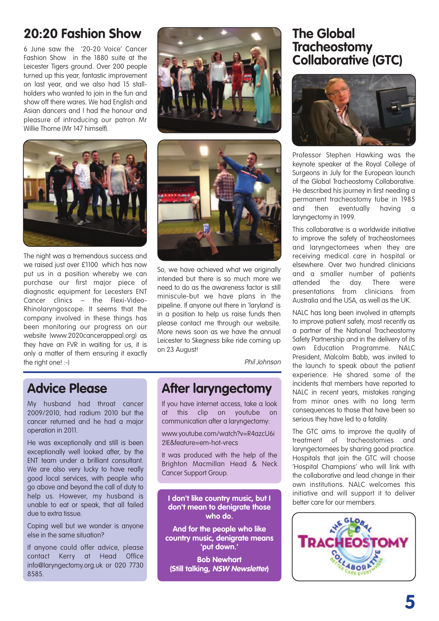## **20:20 Fashion Show**

6 June saw the '20-20 Voice' Cancer Fashion Show in the 1880 suite at the Leicester Tigers ground. Over 200 people turned up this year, fantastic improvement on last year, and we also had 15 stallholders who wanted to join in the fun and show off there wares. We had English and Asian dancers and I had the honour and pleasure of introducing our patron Mr Willie Thorne (Mr 147 himself).



The night was a tremendous success and we raised just over £1100 which has now put us in a position whereby we can purchase our first major piece of diagnostic equipment for Lecesters ENT Cancer clinics – the Flexi-Video-Rhinolaryngoscope. It seems that the company involved in these things has been monitoring our progress on our website (www.2020cancerappeal.org) as they have an FVR in waiting for us, it is only a matter of them ensuring it exactly the right one! :-)





So, we have achieved what we originally intended but there is so much more we need to do as the awareness factor is still miniscule-but we have plans in the pipeline. If anyone out there in 'laryland' is in a position to help us raise funds then please contact me through our website. More news soon as we have the annual Leicester to Skegness bike ride coming up on 23 August!

Phil Johnson

## **Advice Please**

My husband had throat cancer 2009/2010, had radium 2010 but the cancer returned and he had a major operation in 2011.

He was exceptionally and still is been exceptionally well looked after, by the ENT team under a brilliant consultant. We are also very lucky to have really good local services, with people who go above and beyond the call of duty to help us. However, my husband is unable to eat or speak, that all failed due to extra tissue.

Coping well but we wonder is anyone else in the same situation?

If anyone could offer advice, please contact Kerry at Head Office info@laryngectomy.org.uk or 020 7730 8585.

## **After laryngectomy**

If you have internet access, take a look at this clip on youtube on communication after a laryngectomy:

www.youtube.com/watch?v=R4azcU6i 2IE&feature=em-hot-vrecs

It was produced with the help of the Brighton Macmillan Head & Neck Cancer Support Group.

#### better care for our members. **<sup>I</sup> don't like country music, but <sup>I</sup> don't mean to denigrate those who do.**

**And for the people who like country music, denigrate means 'put down.'**

**Bob Newhart (Still talking, NSW Newsletter)**

#### **The Global Tracheostomy Collaborative (GTC)**



Professor Stephen Hawking was the keynote speaker at the Royal College of Surgeons in July for the European launch of the Global Tracheostomy Collaborative. He described his journey in first needing a permanent tracheostomy tube in 1985 and then eventually having a laryngectomy in 1999.

This collaborative is a worldwide initiative to improve the safety of tracheostomees and laryngectomees when they are receiving medical care in hospital or elsewhere. Over two hundred clinicians and a smaller number of patients attended the day. There were presentations from clinicians from Australia and the USA, as well as the UK.

NALC has long been involved in attempts to improve patient safety, most recently as a partner of the National Tracheostomy Safety Partnership and in the delivery of its own Education Programme. NALC President, Malcolm Babb, was invited to the launch to speak about the patient experience. He shared some of the incidents that members have reported to NALC in recent years, mistakes ranging from minor ones with no long term consequences to those that have been so serious they have led to a fatality.

The GTC aims to improve the quality of treatment of tracheostomies and laryngectomees by sharing good practice. Hospitals that join the GTC will choose 'Hospital Champions' who will link with the collaborative and lead change in their own institutions. NALC welcomes this initiative and will support it to deliver

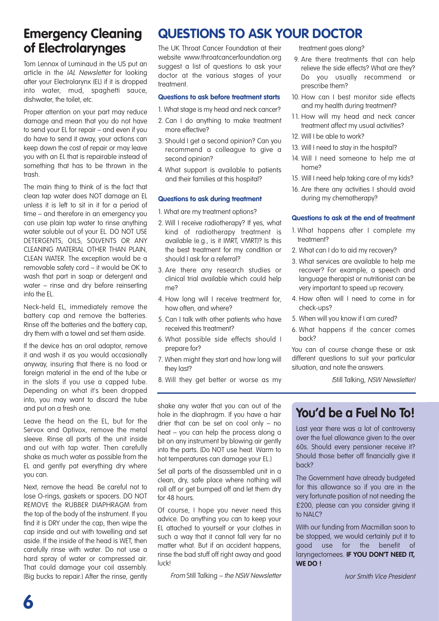## **Emergency Cleaning of Electrolarynges**

Tom Lennox of Luminaud in the US put an article in the IAL Newsletter for looking after your Electrolarynx (EL) if it is dropped into water, mud, spaghetti sauce, dishwater, the toilet, etc.

Proper attention on your part may reduce damage and mean that you do not have to send your EL for repair – and even if you do have to send it away, your actions can keep down the cost of repair or may leave you with an EL that is repairable instead of something that has to be thrown in the trash.

The main thing to think of is the fact that clean tap water does NOT damage an EL unless it is left to sit in it for a period of time – and therefore in an emergency you can use plain tap water to rinse anything water soluble out of your EL. DO NOT USE DETERGENTS, OILS, SOLVENTS OR ANY CLEANING MATERIAL OTHER THAN PLAIN, CLEAN WATER. The exception would be a removable safety cord – it would be OK to wash that part in soap or detergent and water – rinse and dry before reinserting into the EL.

Neck-held EL, immediately remove the battery cap and remove the batteries. Rinse off the batteries and the battery cap, dry them with a towel and set them aside.

If the device has an oral adaptor, remove it and wash it as you would occasionally anyway, insuring that there is no food or foreign material in the end of the tube or in the slots if you use a capped tube. Depending on what it's been dropped into, you may want to discard the tube and put on a fresh one.

Leave the head on the EL, but for the Servox and Optivox, remove the metal sleeve. Rinse all parts of the unit inside and out with tap water. Then carefully shake as much water as possible from the EL and gently pat everything dry where you can.

Next, remove the head. Be careful not to lose O-rings, gaskets or spacers. DO NOT REMOVE the RUBBER DIAPHRAGM from the top of the body of the instrument. If you find it is DRY under the cap, then wipe the cap inside and out with towelling and set aside. If the inside of the head is WET, then carefully rinse with water. Do not use a hard spray of water or compressed air. That could damage your coil assembly. (Big bucks to repair.) After the rinse, gently

## **QUESTIONS TO ASK YOUR DOCTOR**

The UK Throat Cancer Foundation at their website www.throatcancerfoundation.org suggest a list of questions to ask your doctor at the various stages of your treatment.

#### **Questions to ask before treatment starts**

- 1. What stage is my head and neck cancer?
- 2. Can I do anything to make treatment more effective?
- 3. Should I get a second opinion? Can you recommend a colleague to give a second opinion?
- 4. What support is available to patients and their families at this hospital?

#### **Questions to ask during treatment**

- 1. What are my treatment options?
- 2. Will I receive radiotherapy? If yes, what kind of radiotherapy treatment is available (e.g., is it IMRT, VMRT)? Is this the best treatment for my condition or should I ask for a referral?
- 3. Are there any research studies or clinical trial available which could help me?
- 4. How long will I receive treatment for, how often, and where?
- 5. Can I talk with other patients who have received this treatment?
- 6. What possible side effects should I prepare for?
- 7. When might they start and how long will they last?
- 8. Will they get better or worse as my

shake any water that you can out of the hole in the diaphragm. If you have a hair drier that can be set on cool only – no heat – you can help the process along a bit on any instrument by blowing air gently into the parts. (Do NOT use heat. Warm to hot temperatures can damage your EL.)

Set all parts of the disassembled unit in a clean, dry, safe place where nothing will roll off or get bumped off and let them dry for 48 hours.

Of course, I hope you never need this advice. Do anything you can to keep your EL attached to yourself or your clothes in such a way that it cannot fall very far no matter what. But if an accident happens, rinse the bad stuff off right away and good luck!

From Still Talking – the NSW Newsletter

treatment goes along?

- 9. Are there treatments that can help relieve the side effects? What are they? Do you usually recommend or prescribe them?
- 10. How can I best monitor side effects and my health during treatment?
- 11. How will my head and neck cancer treatment affect my usual activities?
- 12. Will I be able to work?
- 13. Will I need to stay in the hospital?
- 14. Will I need someone to help me at home?
- 15. Will I need help taking care of my kids?
- 16. Are there any activities I should avoid during my chemotherapy?

#### **Questions to ask at the end of treatment**

- 1. What happens after I complete my treatment?
- 2. What can I do to aid my recovery?
- 3. What services are available to help me recover? For example, a speech and language therapist or nutritionist can be very important to speed up recovery.
- 4. How often will I need to come in for check-ups?
- 5. When will you know if I am cured?
- 6. What happens if the cancer comes back?

You can of course change these or ask different questions to suit your particular situation, and note the answers.

(Still Talking, NSW Newsletter)

#### **You'd be a Fuel No To!**

Last year there was a lot of controversy over the fuel allowance given to the over 60s. Should every pensioner receive it? Should those better off financially give it back?

The Government have already budgeted for this allowance so if you are in the very fortunate position of not needing the £200, please can you consider giving it to NALC?

With our funding from Macmillan soon to be stopped, we would certainly put it to good use for the benefit of laryngectomees. **IF YOU DON'T NEED IT, WE DO !**

Ivor Smith Vice President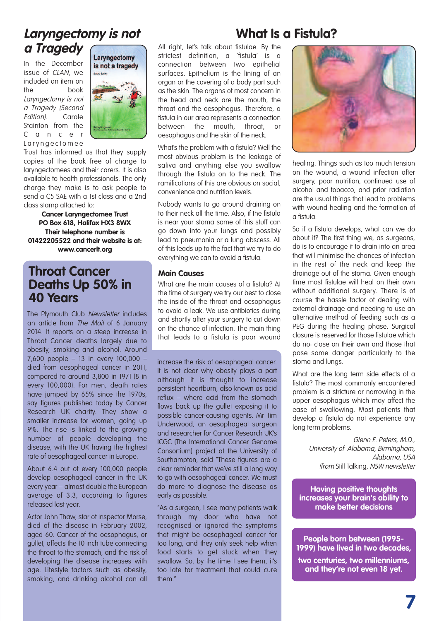## **Laryngectomy is not <sup>a</sup> Tragedy**

In the December issue of CLAN, we included an item on the book Laryngectomy is not <sup>a</sup> Tragedy (Second Edition). Carole Stainton from the C a n c e r L a r y n g e c t o m e e



Trust has informed us that they supply copies of the book free of charge to laryngectomees and their carers. It is also available to health professionals. The only charge they make is to ask people to send a C5 SAE with a 1st class and a 2nd class stamp attached to:

**Cancer Laryngectomee Trust PO Box 618, Halifax HX3 8WX Their telephone number is 01422205522 and their website is at: www.cancerlt.org**

#### **Throat Cancer Deaths Up 50% in 40 Years**

The Plymouth Club Newsletter includes an article from The Mail of 6 January 2014. It reports on a steep increase in Throat Cancer deaths largely due to obesity, smoking and alcohol. Around 7,600 people – 13 in every 100,000 – died from oesophageal cancer in 2011, compared to around 3,800 in 1971 (8 in every 100,000). For men, death rates have jumped by 65% since the 1970s. say figures published today by Cancer Research UK charity. They show a smaller increase for women, going up 9%. The rise is linked to the growing number of people developing the disease, with the UK having the highest rate of oesophageal cancer in Europe.

About 6.4 out of every 100,000 people develop oesophageal cancer in the UK every year – almost double the European average of 3.3, according to figures released last year.

Actor John Thaw, star of Inspector Morse, died of the disease in February 2002, aged 60. Cancer of the oesophagus, or gullet, affects the 10 inch tube connecting the throat to the stomach, and the risk of developing the disease increases with age. Lifestyle factors such as obesity, smoking, and drinking alcohol can all

All right, let's talk about fistulae. By the strictest definition, a 'fistula' is a connection between two epithelial surfaces. Epithelium is the lining of an

organ or the covering of a body part such as the skin. The organs of most concern in the head and neck are the mouth, the throat and the oesophagus. Therefore, a fistula in our area represents a connection between the mouth, throat, oesophagus and the skin of the neck.

What's the problem with a fistula? Well the most obvious problem is the leakage of saliva and anything else you swallow through the fistula on to the neck. The ramifications of this are obvious on social, convenience and nutrition levels.

Nobody wants to go around draining on to their neck all the time. Also, if the fistula is near your stoma some of this stuff can go down into your lungs and possibly lead to pneumonia or a lung abscess. All of this leads up to the fact that we try to do everything we can to avoid a fistula.

#### **Main Causes**

What are the main causes of a fistula? At the time of surgery we try our best to close the inside of the throat and oesophagus to avoid a leak. We use antibiotics during and shortly after your surgery to cut down on the chance of infection. The main thing that leads to a fistula is poor wound

increase the risk of oesophageal cancer. It is not clear why obesity plays a part although it is thought to increase persistent heartburn, also known as acid reflux – where acid from the stomach flows back up the gullet exposing it to possible cancer-causing agents. Mr Tim Underwood, an oesophageal surgeon and researcher for Cancer Research UK's ICGC (The International Cancer Genome Consortium) project at the University of Southampton, said "These figures are a clear reminder that we've still a long way to go with oesophageal cancer. We must do more to diagnose the disease as early as possible.

"As a surgeon, I see many patients walk through my door who have not recognised or ignored the symptoms that might be oesophageal cancer for too long, and they only seek help when food starts to get stuck when they swallow. So, by the time I see them, it's too late for treatment that could cure them."

## **What Is a Fistula?**



healing. Things such as too much tension on the wound, a wound infection after surgery, poor nutrition, continued use of alcohol and tobacco, and prior radiation are the usual things that lead to problems with wound healing and the formation of a fistula.

So if a fistula develops, what can we do about it? The first thing we, as surgeons, do is to encourage it to drain into an area that will minimise the chances of infection in the rest of the neck and keep the drainage out of the stoma. Given enough time most fistulae will heal on their own without additional surgery. There is of course the hassle factor of dealing with external drainage and needing to use an alternative method of feeding such as a PEG during the healing phase. Surgical closure is reserved for those fistulae which do not close on their own and those that pose some danger particularly to the stoma and lungs.

What are the long term side effects of a fistula? The most commonly encountered problem is a stricture or narrowing in the upper oesophagus which may affect the ease of swallowing. Most patients that develop a fistula do not experience any long term problems.

> Glenn E. Peters, M.D., University of Alabama, Birmingham, Alabama, USA (from Still Talking, NSW newsletter

**Having positive thoughts increases your brain's ability to make better decisions**

**People born between (1995- 1999) have lived in two decades,**

**two centuries, two millenniums, and they're not even 18 yet.**